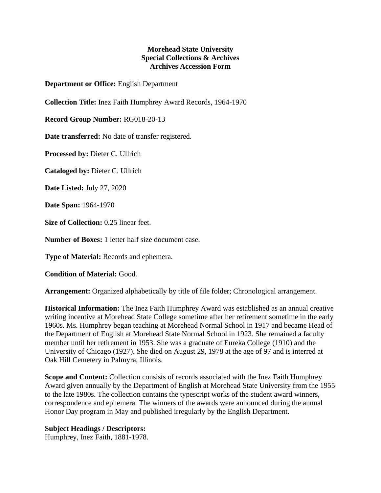## **Morehead State University Special Collections & Archives Archives Accession Form**

**Department or Office:** English Department

**Collection Title:** Inez Faith Humphrey Award Records, 1964-1970

**Record Group Number:** RG018-20-13

**Date transferred:** No date of transfer registered.

**Processed by:** Dieter C. Ullrich

**Cataloged by:** Dieter C. Ullrich

**Date Listed:** July 27, 2020

**Date Span:** 1964-1970

**Size of Collection:** 0.25 linear feet.

**Number of Boxes:** 1 letter half size document case.

**Type of Material:** Records and ephemera.

**Condition of Material:** Good.

**Arrangement:** Organized alphabetically by title of file folder; Chronological arrangement.

**Historical Information:** The Inez Faith Humphrey Award was established as an annual creative writing incentive at Morehead State College sometime after her retirement sometime in the early 1960s. Ms. Humphrey began teaching at Morehead Normal School in 1917 and became Head of the Department of English at Morehead State Normal School in 1923. She remained a faculty member until her retirement in 1953. She was a graduate of Eureka College (1910) and the University of Chicago (1927). She died on August 29, 1978 at the age of 97 and is interred at Oak Hill Cemetery in Palmyra, Illinois.

**Scope and Content:** Collection consists of records associated with the Inez Faith Humphrey Award given annually by the Department of English at Morehead State University from the 1955 to the late 1980s. The collection contains the typescript works of the student award winners, correspondence and ephemera. The winners of the awards were announced during the annual Honor Day program in May and published irregularly by the English Department.

## **Subject Headings / Descriptors:**

Humphrey, Inez Faith, 1881-1978.